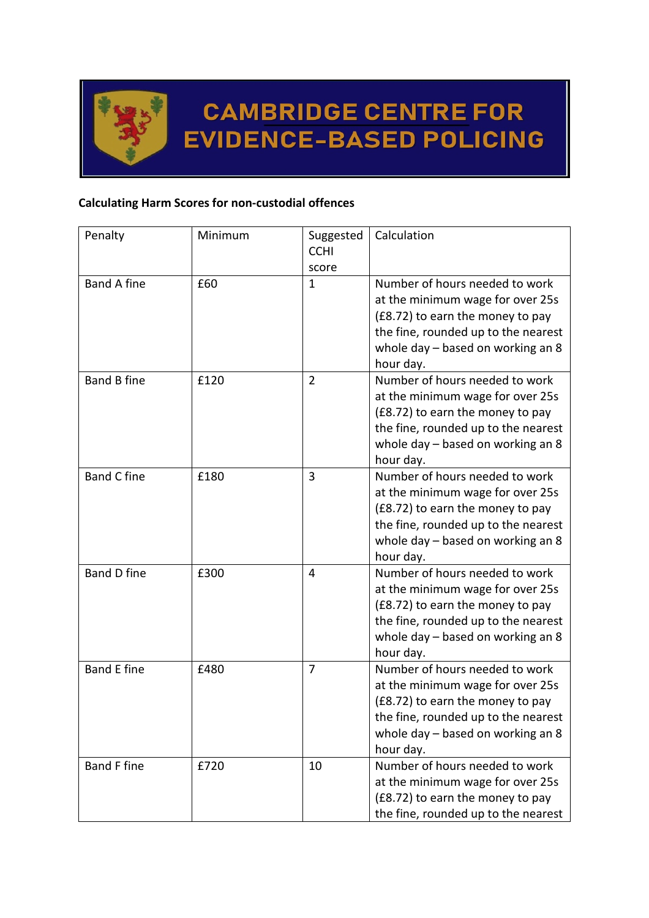

## **CAMBRIDGE CENTRE FOR EVIDENCE-BASED POLICING**

## **Calculating Harm Scores for non-custodial offences**

| Penalty            | Minimum | Suggested<br><b>CCHI</b><br>score | Calculation                                                                                                                                                                                     |
|--------------------|---------|-----------------------------------|-------------------------------------------------------------------------------------------------------------------------------------------------------------------------------------------------|
| <b>Band A fine</b> | £60     | 1                                 | Number of hours needed to work<br>at the minimum wage for over 25s<br>(£8.72) to earn the money to pay<br>the fine, rounded up to the nearest<br>whole day - based on working an 8<br>hour day. |
| <b>Band B fine</b> | £120    | $\overline{2}$                    | Number of hours needed to work<br>at the minimum wage for over 25s<br>(£8.72) to earn the money to pay<br>the fine, rounded up to the nearest<br>whole day - based on working an 8<br>hour day. |
| <b>Band C fine</b> | £180    | 3                                 | Number of hours needed to work<br>at the minimum wage for over 25s<br>(£8.72) to earn the money to pay<br>the fine, rounded up to the nearest<br>whole day - based on working an 8<br>hour day. |
| <b>Band D fine</b> | £300    | 4                                 | Number of hours needed to work<br>at the minimum wage for over 25s<br>(£8.72) to earn the money to pay<br>the fine, rounded up to the nearest<br>whole day - based on working an 8<br>hour day. |
| <b>Band E fine</b> | £480    | 7                                 | Number of hours needed to work<br>at the minimum wage for over 25s<br>(£8.72) to earn the money to pay<br>the fine, rounded up to the nearest<br>whole day - based on working an 8<br>hour day. |
| <b>Band F fine</b> | £720    | 10                                | Number of hours needed to work<br>at the minimum wage for over 25s<br>(£8.72) to earn the money to pay<br>the fine, rounded up to the nearest                                                   |